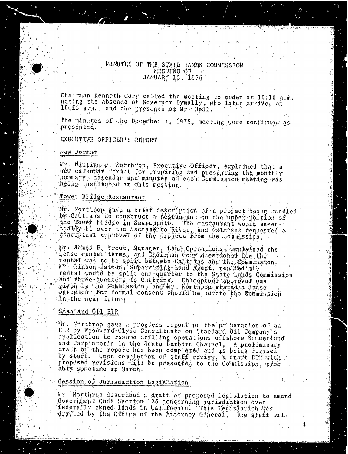### MINUTES OF THE STATE BANDS COMMISSION. MEETING OF. JANUARY 15, 1976

Chairman Kenneth Cory called the meeting to order at 10;10 noting the absence of Governor Dymally, who lat 10:19 am. , and the presence of Mr . Bell.

The minutes of the December 1, 1975, meeting were confirmed as presented.:

EXECUTIVE OFFICER'S REPORT:

#### New Format

Mr. William F. Northrop, Executive Officer, explained that a wow calendar format for preparing and presenting the monthly summary, calendar and minutes of each Commission meeting was being instituted at this meeting.

### Tower Bridge, Restaurant

'Mr. Northrop gave a brief description of a project being handled  $\psi$ by Caltrans to construct a restaurant on the upper the Tower bridge in Sacramento, The restaurant would tially be over the Sacramento River, and Caltrans req conceptual approval of the project from the Co

 $\mathbb{M}$ y: James F. Trout, Manager, Land Operations, explain lease rental terms; and Chairman Cory questioned how the . rental was to be split between Caltrans and the Commission, Mn: binson Patton, Supervising Land Agent, replied" tile rental would be split one-quarter to the State Lands Commission  $\alpha$  and three quarters to Caltrans. Gonceptual approximate  $g$ iven by the Commission , and My . Northrop stated agreement for formal consent should be before the Commission. in the near future.

#### Standard Oil BIR

Mr. Northrop gave a progress report on the preparation of an . EIR by Woodward-Clyde Consultants on Standard Oil Company's application to resume drilling operations offshore Summerland and Carpinteria in the Santa Barbara Channel, A preliminary draft of the report has been completed and is being revised by staff. Upon completion of staff review, a draft BIR with proposed revisions will be prescheed to the Commission, probably sometime in March.

#### Cession of Jurisdiction Legislation

Mr. Northrop described a draft of proposed legislation to amend Government Code Section 126 concerning jurisdiction over federally owned lands in California. This l drafted by the Office of the Attorney General. The

1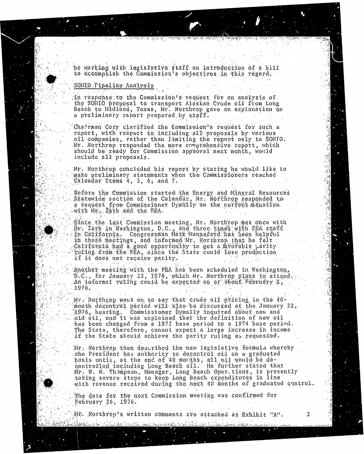bo working with legaslutive staff on introduction of a hill be working with legislative staff on introduction of a bill

#### solino Pipeatine Analysis

**SUPPORT TO THE TWO** 

th response to the Commission's request for an analysis of<br>the SOHIO proposal to transport Alaskan Crude oil from Long Beach to Midrand, Toxas, Mr. Northrop gave an explanation on a  $\emptyset$  proliminary rebort propared by staff. Beach to Midland, Toxas, Mr. Northrop gave an explanation on

Chairman Cory clarifled the Commission's request for such a<br>report, with respect to including all proposals by various oil companies, rather than limiting the report only to SOHIO. Mr. Northrop responded the more comprehensive report, which should be ready for Commission approval next month, would  $in$ clude all proposals. should be ready for Commission approximately in the commission approximately in the commission approximately i<br>The commission approximately in the commission approximately in the commission approximately in the commission

Mr. Northrop concluded his report by stating he would like to make preliminary statements when the Commissibeners reached<br>Calendar Ttems 4, 5, 6, and 7. make preliminary statements when the Commission and the Commissioners reached the Commissioners reached the Co<br>The Commission and the Commissioners reached the Commissioners reached the Commissioners reached the Commissio

Before the Commission started the Energy and Mineral Resources<br>Statewide section of the Calendar, Mr. Northrop responded to a request from Commissioner  $Dy$  mally on the current stouation  $\omega$ vith  $M_{\rm E,0}$  Zarb and the FEA.

Sânce the Last Commission moeting, Mr. Northrop met once with<br>Na Jerop in Nashington, D.C., and throc tames with RBA state din Calilfornia. Congressman Mark Hannaford has heen helpful.<br>In these meetings, and informed Mr. Northrop that he felt  $0$ alifornia. had a good opportunis y to get a fivorable idrity Tulting drom the TRA, since the State could lose production if it does not receive parity.

thother meeting with the FEA has been scheduled in Washington.<br>D.C., for January 22, 1976, which Mr. Northron plans to attend An informal rulling could be expected on of about February  $D_{\rm{max}}$   $\approx$   $1946$ , which Mr. Northern plans to attend to attend to attend to attend to attend to a  $\mathcal{U}_\mathbf{X}$  in  $\mathcal{U}_\mathbf{X}$  could be expected on or about February 1, and  $\mathcal{U}_\mathbf{X}$  is the expected on or about February 1, and  $\mathcal{U}_\mathbf{X}$ 

..'.... 1970, Month décontrol period will also be discussed at the January 22,<br>1976, heartng, Commissioner Dymally inquired about new and<br>61d oil, and it was explained that the definition of new oil has been changed from a 1972 base period to a 1974 base period. The State, therefore, cannot expect a large increase in income if the State sbould achieve the parity ruing as requested. The State, therefore, cannot expect a large increase in income

Mr. Northrop then described the new legislative formula whereby  $\sim$  has is until, at the end of 40 morths, all onl would the  $\phi$  presenting  $\phi$  and  $\phi$  and  $\phi$  and  $\phi$  on  $\phi$  on  $\phi$  and  $\phi$  and  $\phi$ bir. W. M. The epson, Manager, Long Beach Oper tions, is presently taking severe steps to keep Long Beach expenditures in line with revenue received dusing the next 40 months of graduated control.

baking severe steps to keep Long Beach expenditures in line The date for the next Commission meeting was confirmed for<br>February 26, 1976. The date for the next Commission meeting was confirmed for

 $\mathbb{M}$ ). Northrop<sup>t</sup>s written comments are attached as Exhibit "A".

". Mr. 1998 ". De la Monte de la Comments are attached as Andre a Comments and a la Comments are a comments an

2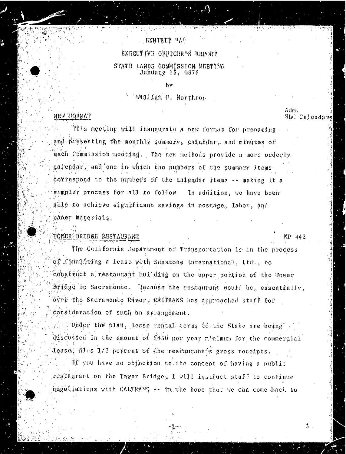## **EXHIBIT "A"**

**Sprange Cr** 

4. 174. 174. 488. 9

### BXECUTIVE OFFTCER'S REPORT

### STATE LANDS COMMISSION. MEETING January 15, 1976

by

## William F. Northrop

## NEW BORNAT

This meeting will inaugurate a new format for preparing. and presenting the monthly summary, calendar, and minutes of each Commission meeting. . The new methods provide a more orderly. calendar, and one in which the numbers of the summary Items dorrespond to the numbers of the calendar items  $-$  making it a simpler process for all to follow. In addition, we have been able to achieve significant savings in postage, labor, and baper materials,

## TOWER BRIDGE RESTAURANT WE A42

The California Department of Transportation is in the process of finalizing a lease with Sunstone International, Itd., to construct a restaurant building on the upper portion of the Tower Bridge. in Sacramento, Secause the restaurant would be, essentially, over the Sacramento River, CALTRANS has approached staff for consideration of such an arrangement.

"Under the plan, lease rental terms to the State are being" discussed in the amount of \$450 per year minimum for the commercial leaso; plus 1/2 percent of the restaurant's gross receipts. If you have no objection to the concept of having a public restaurant on the Tower Bridge; I will instruct staff to continue negotiations with CALTRANS - - in the hone that we can come bac'. to

Adm. SLC Calendars

ڐ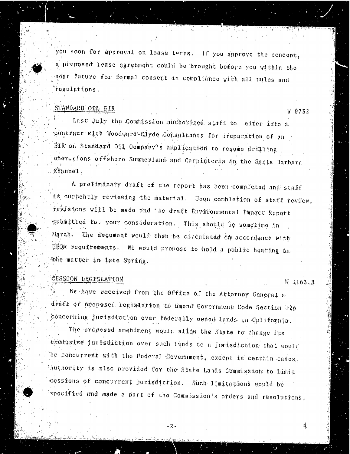you soon for approval on lease terms. If you approve the concept, a proposed lease agreement could be brought before you within the near future for formal consent in compliance with all rules and regulations .

# STANDARD OIL EIR W 9732

Last July the Commission authorized staff to enter into a  $c$ ontract with Woodward -Clyde Consultants for preparation of an EIR' on Standard Oil Company's anplication to resume drilling oner. tions offshore Summerland and Carpinteria in the Santa Barbara . Channel.

A preliminary draft of the report has been completed and staff is currently reviewing the material. Upon completion of staff review, revisions will be made and ' he draft Environmental Impact Report submitted to. your consideration. This should be sometime in March. The document would then be circulated in accordance with CEQA requirements. We would propose to hold a public hearing on the matter in late Spring.

# CESSION LEGISLATION W 1163.8

4.

We have received from the Office of the Attorney General a draft of proposed legislation to amend Government Code Section 126 concerning jurisdiction over federally owned lands in California. The proposed amendment would allow the State to change fits exclusive jurisdiction over such lands to a jurisdiction that would be concurrent with the Federal Government, except in certain cases; Authority is also provided for the State Lands Commission to limit cessions of concurrent jurisdiction. Such limitations would be specified and made a part of the Commission's orders and resolutions.

 $-2.$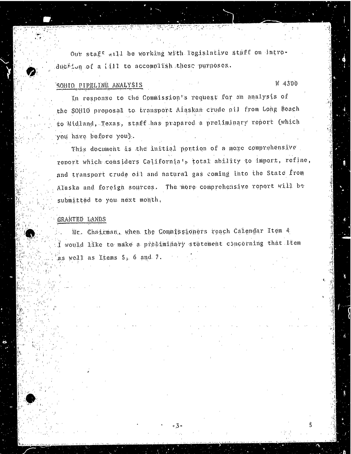Our staff will be working with legislative stuff on introduc $#$ ion of a  $1.411$  to accomplish these purposes.

## SOHIO PIPELINE ANALYSIS **SOHIO PIPELINE ANALYSIS**

5

In response to the Commission's request for an analysis of the SOHIO proposal to transport Alaskan crude oil from Long Beach to Midland, Texas, staff has prepared a preliminary report (which you have before you).

This document is the initial portion of a mome comprehensive report which considers California's total ability to import, refine, and transport crude oil and natural gas coming into the State from Alaska and foreign sources. The more comprehensive report will be submitted to you next month.

### GRANTED LANDS

Mr. Chairman., when the Commissioners reach Calendar Item 4 would like to make a preliminary statement concerning that Item as well as Items 5; 6 and 7.

- 3.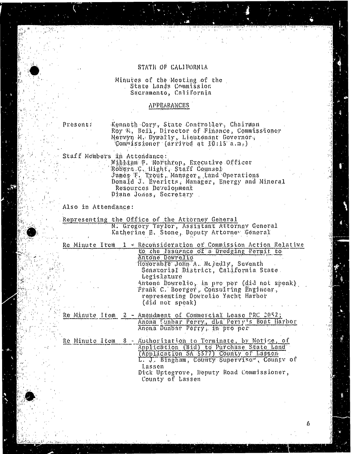### STATH OF CALIFORNIA

# Minutes of the Meeting of the State Land's Commission Sacramento, California

#### APPEARANCES

Present: Kenneth Cory, State Controller, Chairman Roy M. Bell, Director of Finance, Commissioner Mervyn M. Dywarty, Lieutenant Gov Commissioner (arrived at 10 :15"a.a.)

Staff Members in Attendance: William F. Northrop, Executive Officer<br>Orthopic C. Udobe, Craft Course. Robert .C. Hight, Staff Coy .<br>Tense II Minist Monggon James F. Trout, Manager, Land Operations Donald J. Everitts, Manager, Energy and Miner Resources Development Diane Jones, Secretary

Also in Attendance :

Representing the Office of the Attorney General N.. Gregory Taylor, Assistant Attorney General Katherine E. Stone, Deputy Attorney General

Re Minute Item 1 - Reconsideration of Commission Action

to che Issuance of a Dredging Pe Antone Dowre Honorable John A. Nejedly, Seventh Senatorial District, California Legislature Antone Dowrelto, in pro per (did not speak) Frank C. Boerger, Consulting Engineer, representing Dowrelio Yacht Harbor (did not speak)

Re Minute Itom 2 - Amendment of Commercial Lease PRC 2052; Anona Funbar Perry, dba Perry's Boat Harbor Anona Dunbar Perry; in pro per

Re Minuto Item 8 - Authorization (Bid) to Purchase State<br>Application (Bid) to Purchase State (Application SA 5577) County of La L. J. Bingham, County Supervisor, County Lassen Dick Uptegrove, Deputy Road Commissioner, County of Lassen

6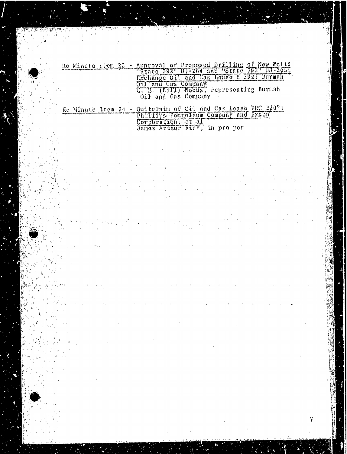## Re Minute item 22 - Approval of Proposed Drilling of New Wells Exchange Oil and Cas Lease n 3921 Bur Oil and Gas Company C. E. (Bill) Woods, representing Bur Oil and Gas Compan

부잡

Ŵ

## Re Minute Itom 24 - Quitelaim of Oil and Gas Lease PRC 220. Corporation , e James Arthur  $\psi$ an $\mathbb{F}_4$  an pro

 $\mathcal{I}$